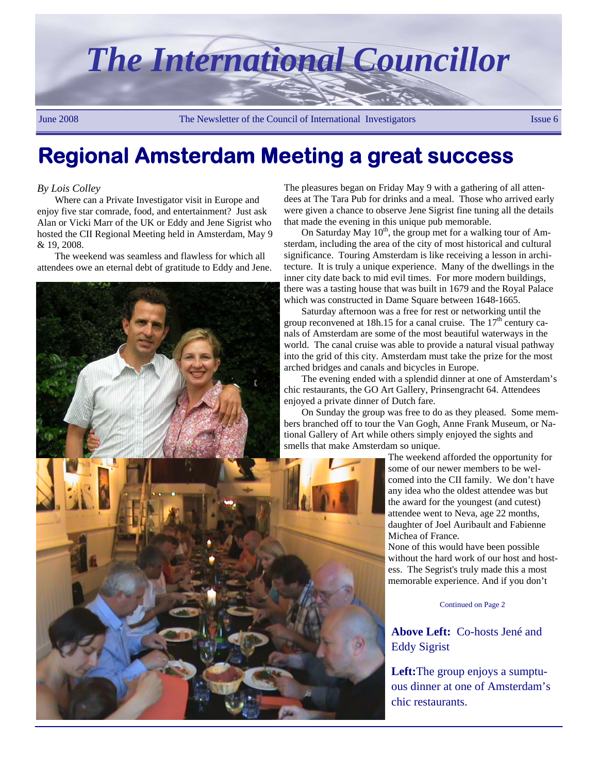

# **Regional Amsterdam Meeting a great success**

#### *By Lois Colley*

Where can a Private Investigator visit in Europe and enjoy five star comrade, food, and entertainment? Just ask Alan or Vicki Marr of the UK or Eddy and Jene Sigrist who hosted the CII Regional Meeting held in Amsterdam, May 9  $& 19, 2008$ 

The weekend was seamless and flawless for which all attendees owe an eternal debt of gratitude to Eddy and Jene.



The pleasures began on Friday May 9 with a gathering of all attendees at The Tara Pub for drinks and a meal. Those who arrived early were given a chance to observe Jene Sigrist fine tuning all the details that made the evening in this unique pub memorable.

On Saturday May  $10^{th}$ , the group met for a walking tour of Amsterdam, including the area of the city of most historical and cultural significance. Touring Amsterdam is like receiving a lesson in architecture. It is truly a unique experience. Many of the dwellings in the inner city date back to mid evil times. For more modern buildings, there was a tasting house that was built in 1679 and the Royal Palace which was constructed in Dame Square between 1648-1665.

Saturday afternoon was a free for rest or networking until the group reconvened at 18h.15 for a canal cruise. The  $17<sup>th</sup>$  century canals of Amsterdam are some of the most beautiful waterways in the world. The canal cruise was able to provide a natural visual pathway into the grid of this city. Amsterdam must take the prize for the most arched bridges and canals and bicycles in Europe.

The evening ended with a splendid dinner at one of Amsterdam's chic restaurants, the GO Art Gallery, Prinsengracht 64. Attendees enjoyed a private dinner of Dutch fare.

On Sunday the group was free to do as they pleased. Some members branched off to tour the Van Gogh, Anne Frank Museum, or National Gallery of Art while others simply enjoyed the sights and smells that make Amsterdam so unique.

> The weekend afforded the opportunity for some of our newer members to be welcomed into the CII family. We don't have any idea who the oldest attendee was but the award for the youngest (and cutest) attendee went to Neva, age 22 months, daughter of Joel Auribault and Fabienne Michea of France.

None of this would have been possible without the hard work of our host and hostess. The Segrist's truly made this a most memorable experience. And if you don't

Continued on Page 2

**Above Left:** Co-hosts Jené and Eddy Sigrist

**Left:**The group enjoys a sumptuous dinner at one of Amsterdam's chic restaurants.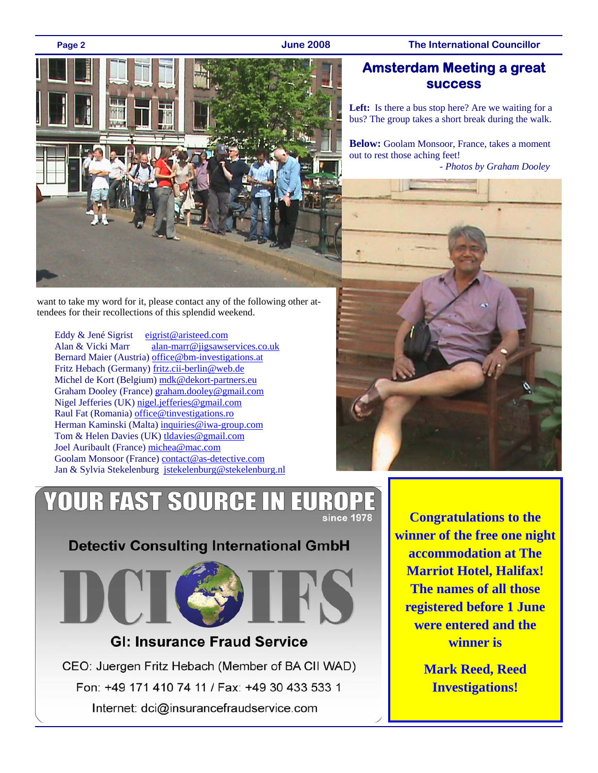### **Page 2 June 2008 The International Councillor**



want to take my word for it, please contact any of the following other attendees for their recollections of this splendid weekend.

Eddy & Jené Sigrist eigrist@aristeed.com Alan & Vicki Marr alan-marr@jigsawservices.co.uk Bernard Maier (Austria) office@bm-investigations.at Fritz Hebach (Germany) fritz.cii-berlin@web.de Michel de Kort (Belgium) mdk@dekort-partners.eu Graham Dooley (France) graham.dooley@gmail.com Nigel Jefferies (UK) nigel.jefferies@gmail.com Raul Fat (Romania) office@tinvestigations.ro Herman Kaminski (Malta) inquiries@iwa-group.com Tom & Helen Davies (UK) tldavies@gmail.com Joel Auribault (France) michea@mac.com Goolam Monsoor (France) contact@as-detective.com Jan & Sylvia Stekelenburg jstekelenburg@stekelenburg.nl

### **Amsterdam Meeting a great success**

Left: Is there a bus stop here? Are we waiting for a bus? The group takes a short break during the walk.

**Below:** Goolam Monsoor, France, takes a moment out to rest those aching feet!

*- Photos by Graham Dooley*



### **YOUR FAST SOURCE IN EU** since 1978

**Detectiv Consulting International GmbH** 



### **GI: Insurance Fraud Service**

CEO: Juergen Fritz Hebach (Member of BA CII WAD) Fon: +49 171 410 74 11 / Fax: +49 30 433 533 1 Internet: dci@insurancefraudservice.com

**Congratulations to the winner of the free one night accommodation at The Marriot Hotel, Halifax! The names of all those registered before 1 June were entered and the winner is** 

> **Mark Reed, Reed Investigations!**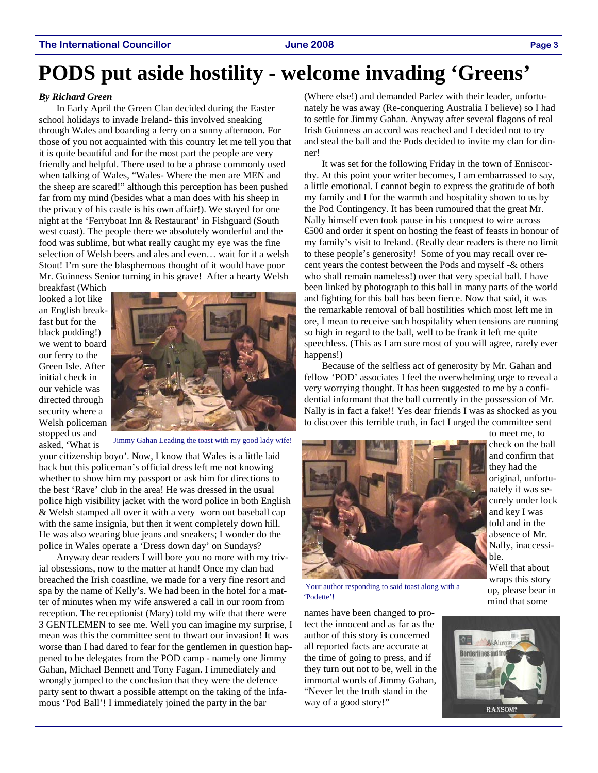# **PODS put aside hostility - welcome invading 'Greens'**

#### *By Richard Green*

In Early April the Green Clan decided during the Easter school holidays to invade Ireland- this involved sneaking through Wales and boarding a ferry on a sunny afternoon. For those of you not acquainted with this country let me tell you that it is quite beautiful and for the most part the people are very friendly and helpful. There used to be a phrase commonly used when talking of Wales, "Wales- Where the men are MEN and the sheep are scared!" although this perception has been pushed far from my mind (besides what a man does with his sheep in the privacy of his castle is his own affair!). We stayed for one night at the 'Ferryboat Inn & Restaurant' in Fishguard (South west coast). The people there we absolutely wonderful and the food was sublime, but what really caught my eye was the fine selection of Welsh beers and ales and even… wait for it a welsh Stout! I'm sure the blasphemous thought of it would have poor Mr. Guinness Senior turning in his grave! After a hearty Welsh

breakfast (Which looked a lot like an English breakfast but for the black pudding!) we went to board our ferry to the Green Isle. After initial check in our vehicle was directed through security where a Welsh policeman stopped us and asked, 'What is



Jimmy Gahan Leading the toast with my good lady wife!

your citizenship boyo'. Now, I know that Wales is a little laid back but this policeman's official dress left me not knowing whether to show him my passport or ask him for directions to the best 'Rave' club in the area! He was dressed in the usual police high visibility jacket with the word police in both English & Welsh stamped all over it with a very worn out baseball cap with the same insignia, but then it went completely down hill. He was also wearing blue jeans and sneakers; I wonder do the police in Wales operate a 'Dress down day' on Sundays?

Anyway dear readers I will bore you no more with my trivial obsessions, now to the matter at hand! Once my clan had breached the Irish coastline, we made for a very fine resort and spa by the name of Kelly's. We had been in the hotel for a matter of minutes when my wife answered a call in our room from reception. The receptionist (Mary) told my wife that there were 3 GENTLEMEN to see me. Well you can imagine my surprise, I mean was this the committee sent to thwart our invasion! It was worse than I had dared to fear for the gentlemen in question happened to be delegates from the POD camp - namely one Jimmy Gahan, Michael Bennett and Tony Fagan. I immediately and wrongly jumped to the conclusion that they were the defence party sent to thwart a possible attempt on the taking of the infamous 'Pod Ball'! I immediately joined the party in the bar

(Where else!) and demanded Parlez with their leader, unfortunately he was away (Re-conquering Australia I believe) so I had to settle for Jimmy Gahan. Anyway after several flagons of real Irish Guinness an accord was reached and I decided not to try and steal the ball and the Pods decided to invite my clan for dinner!

It was set for the following Friday in the town of Enniscorthy. At this point your writer becomes, I am embarrassed to say, a little emotional. I cannot begin to express the gratitude of both my family and I for the warmth and hospitality shown to us by the Pod Contingency. It has been rumoured that the great Mr. Nally himself even took pause in his conquest to wire across €500 and order it spent on hosting the feast of feasts in honour of my family's visit to Ireland. (Really dear readers is there no limit to these people's generosity! Some of you may recall over recent years the contest between the Pods and myself -& others who shall remain nameless!) over that very special ball. I have been linked by photograph to this ball in many parts of the world and fighting for this ball has been fierce. Now that said, it was the remarkable removal of ball hostilities which most left me in ore, I mean to receive such hospitality when tensions are running so high in regard to the ball, well to be frank it left me quite speechless. (This as I am sure most of you will agree, rarely ever happens!)

Because of the selfless act of generosity by Mr. Gahan and fellow 'POD' associates I feel the overwhelming urge to reveal a very worrying thought. It has been suggested to me by a confidential informant that the ball currently in the possession of Mr. Nally is in fact a fake!! Yes dear friends I was as shocked as you to discover this terrible truth, in fact I urged the committee sent



 Your author responding to said toast along with a 'Podette'!

names have been changed to protect the innocent and as far as the author of this story is concerned all reported facts are accurate at the time of going to press, and if they turn out not to be, well in the immortal words of Jimmy Gahan, "Never let the truth stand in the way of a good story!"

to meet me, to check on the ball and confirm that they had the original, unfortunately it was securely under lock and key I was told and in the absence of Mr. Nally, inaccessible.

Well that about wraps this story up, please bear in mind that some

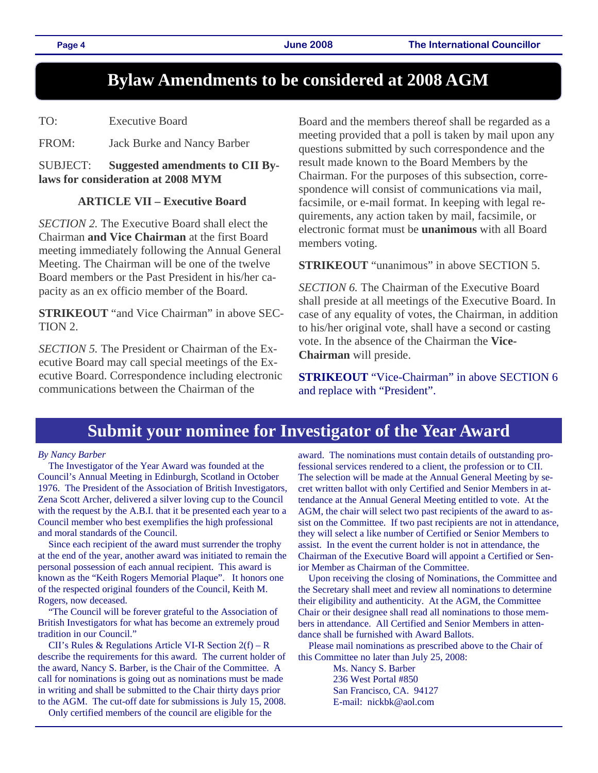## **Bylaw Amendments to be considered at 2008 AGM**

TO: Executive Board

FROM: Jack Burke and Nancy Barber

SUBJECT: **Suggested amendments to CII Bylaws for consideration at 2008 MYM** 

### **ARTICLE VII – Executive Board**

*SECTION 2.* The Executive Board shall elect the Chairman **and Vice Chairman** at the first Board meeting immediately following the Annual General Meeting. The Chairman will be one of the twelve Board members or the Past President in his/her capacity as an ex officio member of the Board.

**STRIKEOUT** "and Vice Chairman" in above SEC-TION 2.

*SECTION 5.* The President or Chairman of the Executive Board may call special meetings of the Executive Board. Correspondence including electronic communications between the Chairman of the

Board and the members thereof shall be regarded as a meeting provided that a poll is taken by mail upon any questions submitted by such correspondence and the result made known to the Board Members by the Chairman. For the purposes of this subsection, correspondence will consist of communications via mail, facsimile, or e-mail format. In keeping with legal requirements, any action taken by mail, facsimile, or electronic format must be **unanimous** with all Board members voting.

**STRIKEOUT** "unanimous" in above SECTION 5.

**SECTION 6.** The Chairman of the Executive Board shall preside at all meetings of the Executive Board. In case of any equality of votes, the Chairman, in addition to his/her original vote, shall have a second or casting vote. In the absence of the Chairman the **Vice-Chairman** will preside.

**STRIKEOUT** "Vice-Chairman" in above SECTION 6 and replace with "President".

## **Submit your nominee for Investigator of the Year Award**

#### *By Nancy Barber*

The Investigator of the Year Award was founded at the Council's Annual Meeting in Edinburgh, Scotland in October 1976. The President of the Association of British Investigators, Zena Scott Archer, delivered a silver loving cup to the Council with the request by the A.B.I. that it be presented each year to a Council member who best exemplifies the high professional and moral standards of the Council.

Since each recipient of the award must surrender the trophy at the end of the year, another award was initiated to remain the personal possession of each annual recipient. This award is known as the "Keith Rogers Memorial Plaque". It honors one of the respected original founders of the Council, Keith M. Rogers, now deceased.

"The Council will be forever grateful to the Association of British Investigators for what has become an extremely proud tradition in our Council."

CII's Rules & Regulations Article VI-R Section 2(f) – R describe the requirements for this award. The current holder of the award, Nancy S. Barber, is the Chair of the Committee. A call for nominations is going out as nominations must be made in writing and shall be submitted to the Chair thirty days prior to the AGM. The cut-off date for submissions is July 15, 2008.

Only certified members of the council are eligible for the

award. The nominations must contain details of outstanding professional services rendered to a client, the profession or to CII. The selection will be made at the Annual General Meeting by secret written ballot with only Certified and Senior Members in attendance at the Annual General Meeting entitled to vote. At the AGM, the chair will select two past recipients of the award to assist on the Committee. If two past recipients are not in attendance, they will select a like number of Certified or Senior Members to assist. In the event the current holder is not in attendance, the Chairman of the Executive Board will appoint a Certified or Senior Member as Chairman of the Committee.

Upon receiving the closing of Nominations, the Committee and the Secretary shall meet and review all nominations to determine their eligibility and authenticity. At the AGM, the Committee Chair or their designee shall read all nominations to those members in attendance. All Certified and Senior Members in attendance shall be furnished with Award Ballots.

Please mail nominations as prescribed above to the Chair of this Committee no later than July 25, 2008:

> Ms. Nancy S. Barber 236 West Portal #850 San Francisco, CA. 94127 E-mail: nickbk@aol.com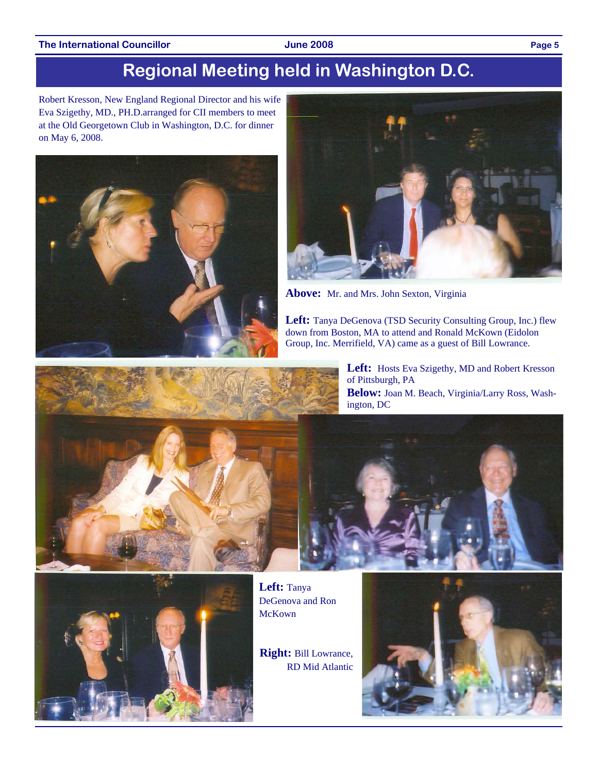#### The International Councillor **Councillor June 2008 Page 5**

# **Regional Meeting held in Washington D.C.**

Robert Kresson, New England Regional Director and his wife Eva Szigethy, MD., PH.D.arranged for CII members to meet at the Old Georgetown Club in Washington, D.C. for dinner on May 6, 2008.





**Above:** Mr. and Mrs. John Sexton, Virginia

**Left:** Tanya DeGenova (TSD Security Consulting Group, Inc.) flew down from Boston, MA to attend and Ronald McKown (Eidolon Group, Inc. Merrifield, VA) came as a guest of Bill Lowrance.







**Left:** Tanya DeGenova and Ron McKown

**Right:** Bill Lowrance, RD Mid Atlantic

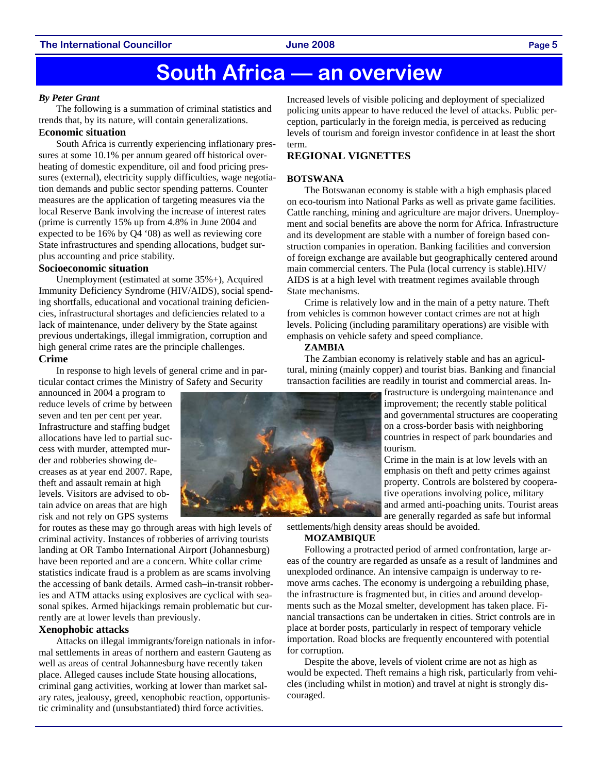#### **The International Councillor June 2008 Page 5**

## **South Africa — an overview**

#### *By Peter Grant*

The following is a summation of criminal statistics and trends that, by its nature, will contain generalizations.

#### **Economic situation**

South Africa is currently experiencing inflationary pressures at some 10.1% per annum geared off historical overheating of domestic expenditure, oil and food pricing pressures (external), electricity supply difficulties, wage negotiation demands and public sector spending patterns. Counter measures are the application of targeting measures via the local Reserve Bank involving the increase of interest rates (prime is currently 15% up from 4.8% in June 2004 and expected to be 16% by Q4 '08) as well as reviewing core State infrastructures and spending allocations, budget surplus accounting and price stability.

#### **Socioeconomic situation**

Unemployment (estimated at some 35%+), Acquired Immunity Deficiency Syndrome (HIV/AIDS), social spending shortfalls, educational and vocational training deficiencies, infrastructural shortages and deficiencies related to a lack of maintenance, under delivery by the State against previous undertakings, illegal immigration, corruption and high general crime rates are the principle challenges.

#### **Crime**

In response to high levels of general crime and in particular contact crimes the Ministry of Safety and Security

announced in 2004 a program to reduce levels of crime by between seven and ten per cent per year. Infrastructure and staffing budget allocations have led to partial success with murder, attempted murder and robberies showing decreases as at year end 2007. Rape, theft and assault remain at high levels. Visitors are advised to obtain advice on areas that are high risk and not rely on GPS systems

for routes as these may go through areas with high levels of criminal activity. Instances of robberies of arriving tourists landing at OR Tambo International Airport (Johannesburg) have been reported and are a concern. White collar crime statistics indicate fraud is a problem as are scams involving the accessing of bank details. Armed cash–in-transit robberies and ATM attacks using explosives are cyclical with seasonal spikes. Armed hijackings remain problematic but currently are at lower levels than previously.

#### **Xenophobic attacks**

Attacks on illegal immigrants/foreign nationals in informal settlements in areas of northern and eastern Gauteng as well as areas of central Johannesburg have recently taken place. Alleged causes include State housing allocations, criminal gang activities, working at lower than market salary rates, jealousy, greed, xenophobic reaction, opportunistic criminality and (unsubstantiated) third force activities.

Increased levels of visible policing and deployment of specialized policing units appear to have reduced the level of attacks. Public perception, particularly in the foreign media, is perceived as reducing levels of tourism and foreign investor confidence in at least the short term.

### **REGIONAL VIGNETTES**

#### **BOTSWANA**

The Botswanan economy is stable with a high emphasis placed on eco-tourism into National Parks as well as private game facilities. Cattle ranching, mining and agriculture are major drivers. Unemployment and social benefits are above the norm for Africa. Infrastructure and its development are stable with a number of foreign based construction companies in operation. Banking facilities and conversion of foreign exchange are available but geographically centered around main commercial centers. The Pula (local currency is stable).HIV/ AIDS is at a high level with treatment regimes available through State mechanisms.

Crime is relatively low and in the main of a petty nature. Theft from vehicles is common however contact crimes are not at high levels. Policing (including paramilitary operations) are visible with emphasis on vehicle safety and speed compliance.

#### **ZAMBIA**

The Zambian economy is relatively stable and has an agricultural, mining (mainly copper) and tourist bias. Banking and financial transaction facilities are readily in tourist and commercial areas. In-

> frastructure is undergoing maintenance and improvement; the recently stable political and governmental structures are cooperating on a cross-border basis with neighboring countries in respect of park boundaries and tourism.

> Crime in the main is at low levels with an emphasis on theft and petty crimes against property. Controls are bolstered by cooperative operations involving police, military and armed anti-poaching units. Tourist areas are generally regarded as safe but informal

settlements/high density areas should be avoided. **MOZAMBIQUE** 

Following a protracted period of armed confrontation, large areas of the country are regarded as unsafe as a result of landmines and unexploded ordinance. An intensive campaign is underway to remove arms caches. The economy is undergoing a rebuilding phase, the infrastructure is fragmented but, in cities and around developments such as the Mozal smelter, development has taken place. Financial transactions can be undertaken in cities. Strict controls are in place at border posts, particularly in respect of temporary vehicle importation. Road blocks are frequently encountered with potential for corruption.

Despite the above, levels of violent crime are not as high as would be expected. Theft remains a high risk, particularly from vehicles (including whilst in motion) and travel at night is strongly discouraged.

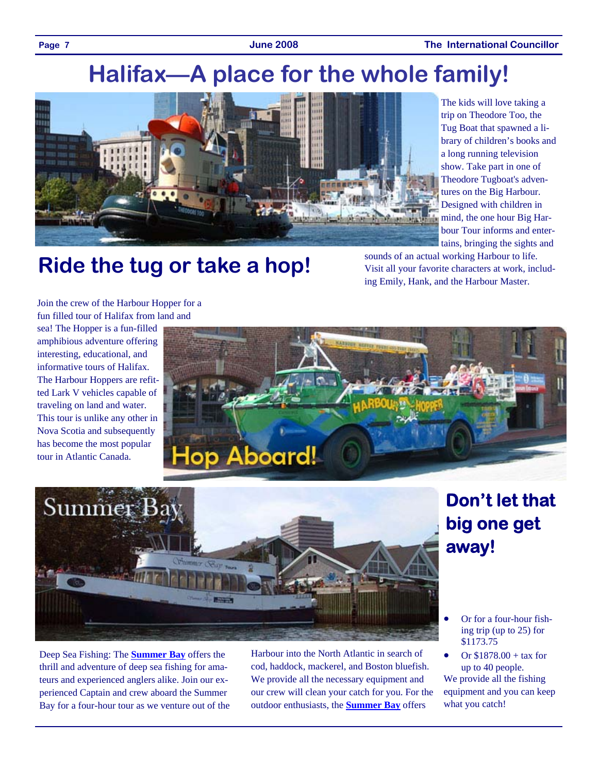Page 7 **The International Councillor** Capacite 1008 **The International Councillor** 

# **Halifax—A place for the whole family!**



The kids will love taking a trip on Theodore Too, the Tug Boat that spawned a library of children's books and a long running television show. Take part in one of Theodore Tugboat's adventures on the Big Harbour. Designed with children in mind, the one hour Big Harbour Tour informs and entertains, bringing the sights and

# **Ride the tug or take a hop!**

sounds of an actual working Harbour to life. Visit all your favorite characters at work, including Emily, Hank, and the Harbour Master.

Join the crew of the Harbour Hopper for a fun filled tour of Halifax from land and

sea! The Hopper is a fun-filled amphibious adventure offering interesting, educational, and informative tours of Halifax. The Harbour Hoppers are refitted Lark V vehicles capable of traveling on land and water. This tour is unlike any other in Nova Scotia and subsequently has become the most popular tour in Atlantic Canada.





Deep Sea Fishing: The **Summer Bay** offers the thrill and adventure of deep sea fishing for amateurs and experienced anglers alike. Join our experienced Captain and crew aboard the Summer Bay for a four-hour tour as we venture out of the Harbour into the North Atlantic in search of cod, haddock, mackerel, and Boston bluefish. We provide all the necessary equipment and our crew will clean your catch for you. For the outdoor enthusiasts, the **Summer Bay** offers

# **Don't let that big one get away!**

- Or for a four-hour fishing trip (up to 25) for \$1173.75
- Or \$1878.00 + tax for up to 40 people. We provide all the fishing equipment and you can keep what you catch!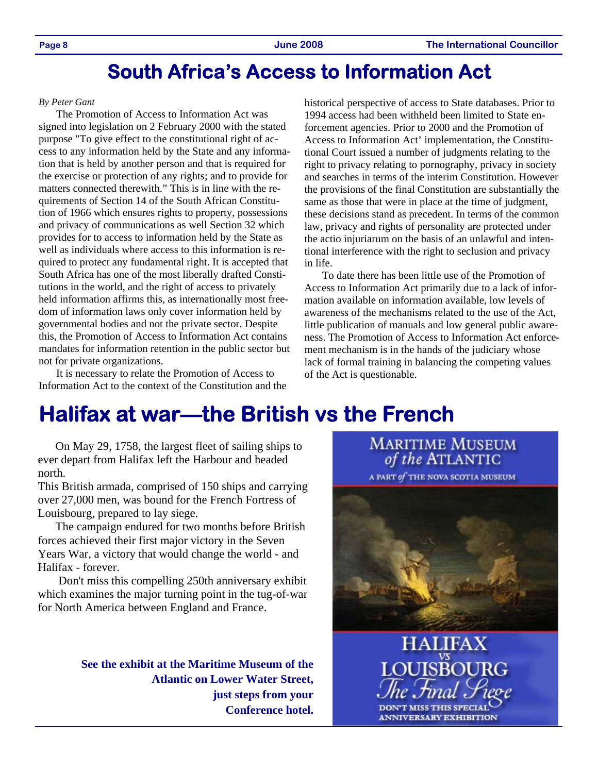## **South Africa's Access to Information Act**

#### *By Peter Gant*

The Promotion of Access to Information Act was signed into legislation on 2 February 2000 with the stated purpose "To give effect to the constitutional right of access to any information held by the State and any information that is held by another person and that is required for the exercise or protection of any rights; and to provide for matters connected therewith." This is in line with the requirements of Section 14 of the South African Constitution of 1966 which ensures rights to property, possessions and privacy of communications as well Section 32 which provides for to access to information held by the State as well as individuals where access to this information is required to protect any fundamental right. It is accepted that South Africa has one of the most liberally drafted Constitutions in the world, and the right of access to privately held information affirms this, as internationally most freedom of information laws only cover information held by governmental bodies and not the private sector. Despite this, the Promotion of Access to Information Act contains mandates for information retention in the public sector but not for private organizations.

It is necessary to relate the Promotion of Access to Information Act to the context of the Constitution and the historical perspective of access to State databases. Prior to 1994 access had been withheld been limited to State enforcement agencies. Prior to 2000 and the Promotion of Access to Information Act' implementation, the Constitutional Court issued a number of judgments relating to the right to privacy relating to pornography, privacy in society and searches in terms of the interim Constitution. However the provisions of the final Constitution are substantially the same as those that were in place at the time of judgment, these decisions stand as precedent. In terms of the common law, privacy and rights of personality are protected under the actio injuriarum on the basis of an unlawful and intentional interference with the right to seclusion and privacy in life.

To date there has been little use of the Promotion of Access to Information Act primarily due to a lack of information available on information available, low levels of awareness of the mechanisms related to the use of the Act, little publication of manuals and low general public awareness. The Promotion of Access to Information Act enforcement mechanism is in the hands of the judiciary whose lack of formal training in balancing the competing values of the Act is questionable.

# **Halifax at war—the British vs the French**

On May 29, 1758, the largest fleet of sailing ships to ever depart from Halifax left the Harbour and headed north.

This British armada, comprised of 150 ships and carrying over 27,000 men, was bound for the French Fortress of Louisbourg, prepared to lay siege.

The campaign endured for two months before British forces achieved their first major victory in the Seven Years War, a victory that would change the world - and Halifax - forever.

 Don't miss this compelling 250th anniversary exhibit which examines the major turning point in the tug-of-war for North America between England and France.

> **See the exhibit at the Maritime Museum of the Atlantic on Lower Water Street, just steps from your Conference hotel.**

**MARITIME MUSEUM** of the ATLANTIC



**HALIFAX** DON'T MISS THIS SPECIAL **ANNIVERSARY EXHIBITION**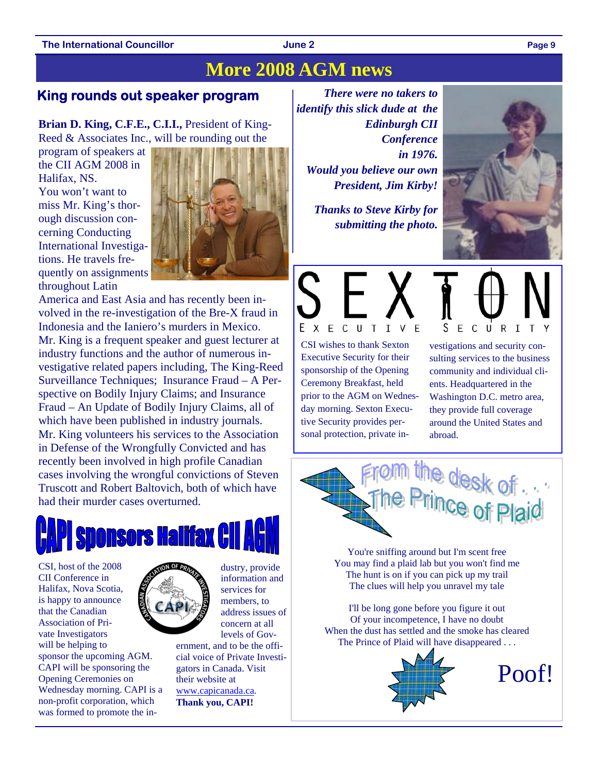### **The International Councillor Case 2 Page 9 Page 9 Page 9 Page 9 Page 9**

### **More 2008 AGM news**

### **King rounds out speaker program**

**Brian D. King, C.F.E., C.I.I.,** President of King-Reed & Associates Inc., will be rounding out the

program of speakers at the CII AGM 2008 in Halifax, NS. You won't want to miss Mr. King's thorough discussion concerning Conducting International Investigations. He travels frequently on assignments throughout Latin



America and East Asia and has recently been involved in the re-investigation of the Bre-X fraud in Indonesia and the Ianiero's murders in Mexico. Mr. King is a frequent speaker and guest lecturer at industry functions and the author of numerous investigative related papers including, The King-Reed Surveillance Techniques; Insurance Fraud – A Perspective on Bodily Injury Claims; and Insurance Fraud – An Update of Bodily Injury Claims, all of which have been published in industry journals. Mr. King volunteers his services to the Association in Defense of the Wrongfully Convicted and has recently been involved in high profile Canadian cases involving the wrongful convictions of Steven Truscott and Robert Baltovich, both of which have had their murder cases overturned.



CSI, host of the 2008 CII Conference in Halifax, Nova Scotia, is happy to announce that the Canadian Association of Private Investigators will be helping to sponsor the upcoming AGM. CAPI will be sponsoring the Opening Ceremonies on Wednesday morning. CAPI is a non-profit corporation, which was formed to promote the in-



information and services for members, to address issues of concern at all levels of Gov-

dustry, provide

ernment, and to be the official voice of Private Investigators in Canada. Visit their website at www.capicanada.ca. **Thank you, CAPI!**

*There were no takers to identify this slick dude at the Edinburgh CII Conference in 1976. Would you believe our own President, Jim Kirby!* 

> *Thanks to Steve Kirby for submitting the photo.*





CSI wishes to thank Sexton Executive Security for their sponsorship of the Opening Ceremony Breakfast, held prior to the AGM on Wednesday morning. Sexton Executive Security provides personal protection, private inS ECUR I

vestigations and security consulting services to the business community and individual clients. Headquartered in the Washington D.C. metro area, they provide full coverage around the United States and abroad.



You're sniffing around but I'm scent free You may find a plaid lab but you won't find me The hunt is on if you can pick up my trail The clues will help you unravel my tale

I'll be long gone before you figure it out Of your incompetence, I have no doubt When the dust has settled and the smoke has cleared The Prince of Plaid will have disappeared . . .



Poof!

**June 2**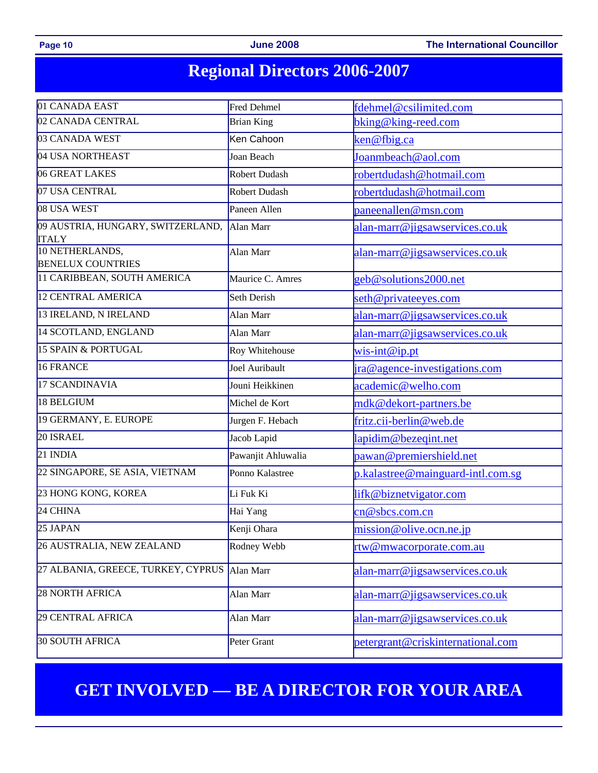### **Page 10**

**Page 2008** The International Councillor

# **Regional Directors 2006-2007**

| 01 CANADA EAST                                    | Fred Dehmel<br>fdehmel@csilimited.com       |                                     |  |  |
|---------------------------------------------------|---------------------------------------------|-------------------------------------|--|--|
| 02 CANADA CENTRAL                                 | <b>Brian King</b>                           | bking@king-reed.com                 |  |  |
| 03 CANADA WEST                                    | Ken Cahoon                                  | ken@fbig.ca                         |  |  |
| 04 USA NORTHEAST                                  | Joan Beach                                  | Joanmbeach@aol.com                  |  |  |
| 06 GREAT LAKES                                    | Robert Dudash                               | robertdudash@hotmail.com            |  |  |
| 07 USA CENTRAL                                    | <b>Robert Dudash</b>                        | robertdudash@hotmail.com            |  |  |
| 08 USA WEST                                       | Paneen Allen                                | paneenallen@msn.com                 |  |  |
| 09 AUSTRIA, HUNGARY, SWITZERLAND,<br><b>ITALY</b> | Alan Marr                                   | alan-marr@jigsawservices.co.uk      |  |  |
| 10 NETHERLANDS,<br><b>BENELUX COUNTRIES</b>       | alan-marr@jigsawservices.co.uk<br>Alan Marr |                                     |  |  |
| 11 CARIBBEAN, SOUTH AMERICA                       | Maurice C. Amres                            | geb@solutions2000.net               |  |  |
| 12 CENTRAL AMERICA                                | Seth Derish                                 | seth@privateeyes.com                |  |  |
| 13 IRELAND, N IRELAND                             | Alan Marr                                   | alan-marr@jigsawservices.co.uk      |  |  |
| 14 SCOTLAND, ENGLAND                              | Alan Marr                                   | alan-marr@jigsawservices.co.uk      |  |  |
| 15 SPAIN & PORTUGAL                               | Roy Whitehouse                              | $wis-int@ippt$                      |  |  |
| 16 FRANCE                                         | Joel Auribault                              | ira@agence-investigations.com       |  |  |
| 17 SCANDINAVIA                                    | Jouni Heikkinen                             | academic@welho.com                  |  |  |
| 18 BELGIUM                                        | Michel de Kort                              | mdk@dekort-partners.be              |  |  |
| 19 GERMANY, E. EUROPE                             | Jurgen F. Hebach                            | fritz.cii-berlin@web.de             |  |  |
| 20 ISRAEL                                         | Jacob Lapid                                 | lapidim@bezeqint.net                |  |  |
| 21 INDIA                                          | Pawanjit Ahluwalia                          | pawan@premiershield.net             |  |  |
| 22 SINGAPORE, SE ASIA, VIETNAM                    | Ponno Kalastree                             | $p.kalastree@mainguard-intl.com.sg$ |  |  |
| 23 HONG KONG, KOREA                               | Li Fuk Ki                                   | lifk@biznetvigator.com              |  |  |
| 24 CHINA                                          | Hai Yang                                    | cn@sbcs.com.cn                      |  |  |
| 25 JAPAN                                          | Kenji Ohara                                 | mission@olive.ocn.ne.jp             |  |  |
| 26 AUSTRALIA, NEW ZEALAND                         | Rodney Webb                                 | rtw@mwacorporate.com.au             |  |  |
| 27 ALBANIA, GREECE, TURKEY, CYPRUS                | Alan Marr                                   | alan-marr@jigsawservices.co.uk      |  |  |
| <b>28 NORTH AFRICA</b>                            | Alan Marr                                   | alan-marr@jigsawservices.co.uk      |  |  |
| 29 CENTRAL AFRICA                                 | Alan Marr                                   | alan-marr@jigsawservices.co.uk      |  |  |
| <b>30 SOUTH AFRICA</b>                            | Peter Grant                                 | petergrant@criskinternational.com   |  |  |

## **GET INVOLVED — BE A DIRECTOR FOR YOUR AREA**